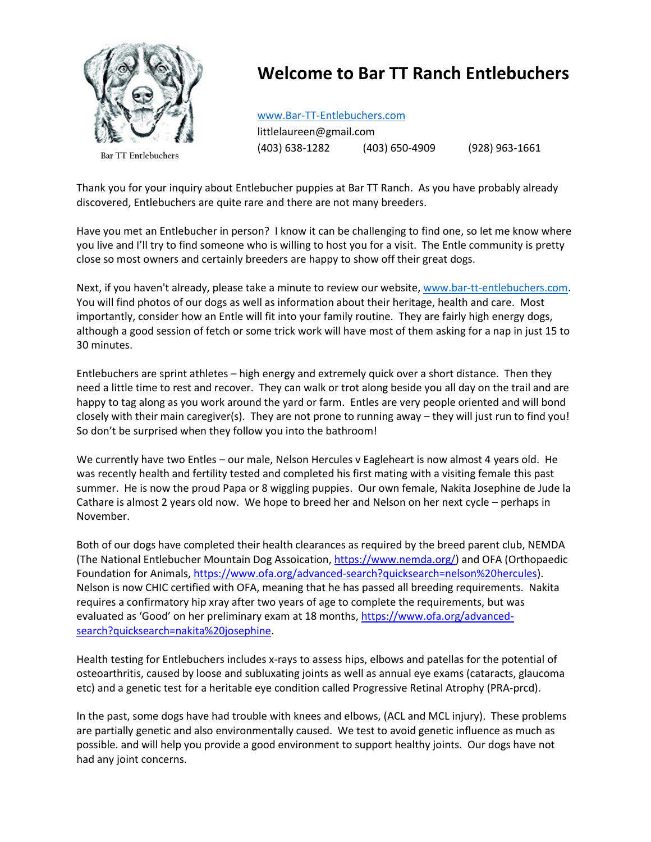

**Bar TT Entlebuchers** 

## **Welcome to Bar TT Ranch Entlebuchers**

[www.Bar-TT-Entlebuchers.com](http://www.bar-tt-entlebuchers.com/)

littlelaureen@gmail.com (403) 638-1282 (403) 650-4909 (928) 963-1661

Thank you for your inquiry about Entlebucher puppies at Bar TT Ranch. As you have probably already discovered, Entlebuchers are quite rare and there are not many breeders.

Have you met an Entlebucher in person? I know it can be challenging to find one, so let me know where you live and I'll try to find someone who is willing to host you for a visit. The Entle community is pretty close so most owners and certainly breeders are happy to show off their great dogs.

Next, if you haven't already, please take a minute to review our website, [www.bar-tt-entlebuchers.com.](http://www.bar-tt-entlebuchers.com/) You will find photos of our dogs as well as information about their heritage, health and care. Most importantly, consider how an Entle will fit into your family routine. They are fairly high energy dogs, although a good session of fetch or some trick work will have most of them asking for a nap in just 15 to 30 minutes.

Entlebuchers are sprint athletes – high energy and extremely quick over a short distance. Then they need a little time to rest and recover. They can walk or trot along beside you all day on the trail and are happy to tag along as you work around the yard or farm. Entles are very people oriented and will bond closely with their main caregiver(s). They are not prone to running away – they will just run to find you! So don't be surprised when they follow you into the bathroom!

We currently have two Entles – our male, Nelson Hercules v Eagleheart is now almost 4 years old. He was recently health and fertility tested and completed his first mating with a visiting female this past summer. He is now the proud Papa or 8 wiggling puppies. Our own female, Nakita Josephine de Jude la Cathare is almost 2 years old now. We hope to breed her and Nelson on her next cycle – perhaps in November.

Both of our dogs have completed their health clearances as required by the breed parent club, NEMDA (The National Entlebucher Mountain Dog Assoication[, https://www.nemda.org/\)](https://www.nemda.org/) and OFA (Orthopaedic Foundation for Animals, [https://www.ofa.org/advanced-search?quicksearch=nelson%20hercules\)](https://www.ofa.org/advanced-search?quicksearch=nelson%20hercules). Nelson is now CHIC certified with OFA, meaning that he has passed all breeding requirements. Nakita requires a confirmatory hip xray after two years of age to complete the requirements, but was evaluated as 'Good' on her preliminary exam at 18 months[, https://www.ofa.org/advanced](https://www.ofa.org/advanced-search?quicksearch=nakita%20josephine)[search?quicksearch=nakita%20josephine.](https://www.ofa.org/advanced-search?quicksearch=nakita%20josephine)

Health testing for Entlebuchers includes x-rays to assess hips, elbows and patellas for the potential of osteoarthritis, caused by loose and subluxating joints as well as annual eye exams (cataracts, glaucoma etc) and a genetic test for a heritable eye condition called Progressive Retinal Atrophy (PRA-prcd).

In the past, some dogs have had trouble with knees and elbows, (ACL and MCL injury). These problems are partially genetic and also environmentally caused. We test to avoid genetic influence as much as possible. and will help you provide a good environment to support healthy joints. Our dogs have not had any joint concerns.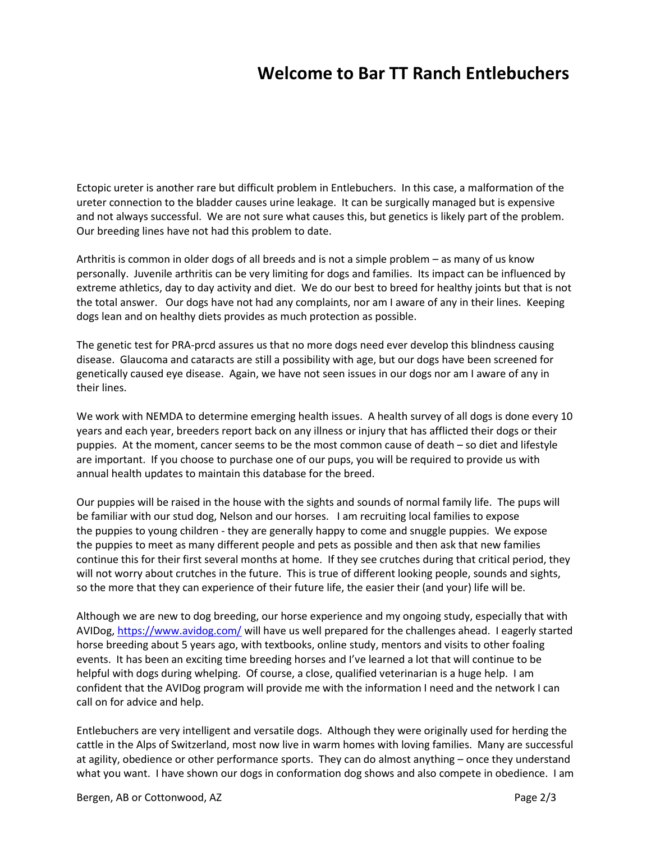## **Welcome to Bar TT Ranch Entlebuchers**

Ectopic ureter is another rare but difficult problem in Entlebuchers. In this case, a malformation of the ureter connection to the bladder causes urine leakage. It can be surgically managed but is expensive and not always successful. We are not sure what causes this, but genetics is likely part of the problem. Our breeding lines have not had this problem to date.

Arthritis is common in older dogs of all breeds and is not a simple problem – as many of us know personally. Juvenile arthritis can be very limiting for dogs and families. Its impact can be influenced by extreme athletics, day to day activity and diet. We do our best to breed for healthy joints but that is not the total answer. Our dogs have not had any complaints, nor am I aware of any in their lines. Keeping dogs lean and on healthy diets provides as much protection as possible.

The genetic test for PRA-prcd assures us that no more dogs need ever develop this blindness causing disease. Glaucoma and cataracts are still a possibility with age, but our dogs have been screened for genetically caused eye disease. Again, we have not seen issues in our dogs nor am I aware of any in their lines.

We work with NEMDA to determine emerging health issues. A health survey of all dogs is done every 10 years and each year, breeders report back on any illness or injury that has afflicted their dogs or their puppies. At the moment, cancer seems to be the most common cause of death – so diet and lifestyle are important. If you choose to purchase one of our pups, you will be required to provide us with annual health updates to maintain this database for the breed.

Our puppies will be raised in the house with the sights and sounds of normal family life. The pups will be familiar with our stud dog, Nelson and our horses. I am recruiting local families to expose the puppies to young children - they are generally happy to come and snuggle puppies. We expose the puppies to meet as many different people and pets as possible and then ask that new families continue this for their first several months at home. If they see crutches during that critical period, they will not worry about crutches in the future. This is true of different looking people, sounds and sights, so the more that they can experience of their future life, the easier their (and your) life will be.

Although we are new to dog breeding, our horse experience and my ongoing study, especially that with AVIDog[, https://www.avidog.com/](https://www.avidog.com/) will have us well prepared for the challenges ahead. I eagerly started horse breeding about 5 years ago, with textbooks, online study, mentors and visits to other foaling events. It has been an exciting time breeding horses and I've learned a lot that will continue to be helpful with dogs during whelping. Of course, a close, qualified veterinarian is a huge help. I am confident that the AVIDog program will provide me with the information I need and the network I can call on for advice and help.

Entlebuchers are very intelligent and versatile dogs. Although they were originally used for herding the cattle in the Alps of Switzerland, most now live in warm homes with loving families. Many are successful at agility, obedience or other performance sports. They can do almost anything – once they understand what you want. I have shown our dogs in conformation dog shows and also compete in obedience. I am